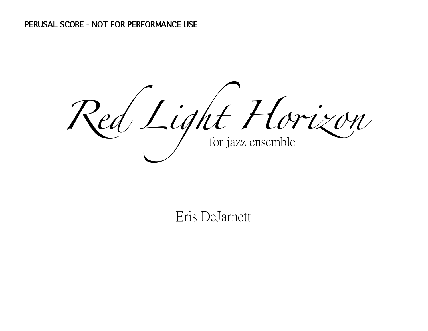Red Light Horizon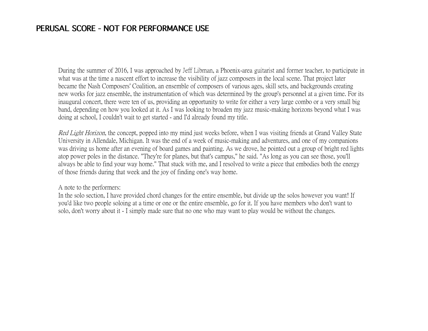## **PERUSAL SCORE - NOT FOR PERFORMANCE USE**

During the summer of 2016, I was approached by Jeff Libman, a Phoenix-area guitarist and former teacher, to participate in what was at the time a nascent effort to increase the visibility of jazz composers in the local scene. That project later became the Nash Composers' Coalition, an ensemble of composers of various ages, skill sets, and backgrounds creating new works for jazz ensemble, the instrumentation of which was determined by the group's personnel at a given time. For its inaugural concert, there were ten of us, providing an opportunity to write for either a very large combo or a very small big band, depending on how you looked at it. As I was looking to broaden my jazz music-making horizons beyond what I was doing at school, I couldn't wait to get started - and I'd already found my title.

Red Light Horizon, the concept, popped into my mind just weeks before, when I was visiting friends at Grand Valley State University in Allendale, Michigan. It was the end of a week of music-making and adventures, and one of my companions was driving us home after an evening of board games and painting. As we drove, he pointed out a group of bright red lights atop power poles in the distance. "They're for planes, but that's campus," he said. "As long as you can see those, you'll always be able to find your way home." That stuck with me, and I resolved to write a piece that embodies both the energy of those friends during that week and the joy of finding one's way home.

A note to the performers:

In the solo section, I have provided chord changes for the entire ensemble, but divide up the solos however you want! If you'd like two people soloing at a time or one or the entire ensemble, go for it. If you have members who don't want to solo, don't worry about it - I simply made sure that no one who may want to play would be without the changes.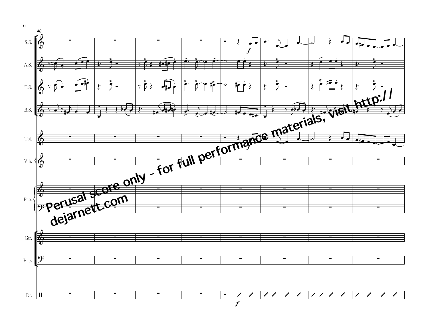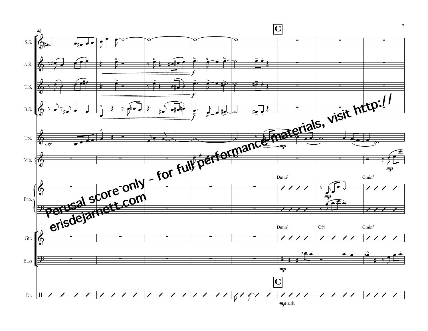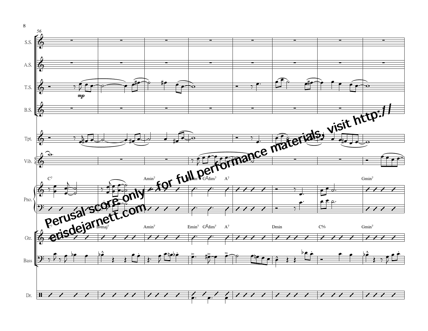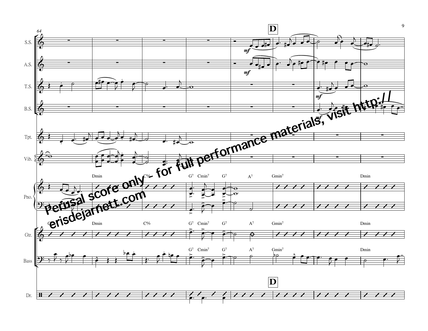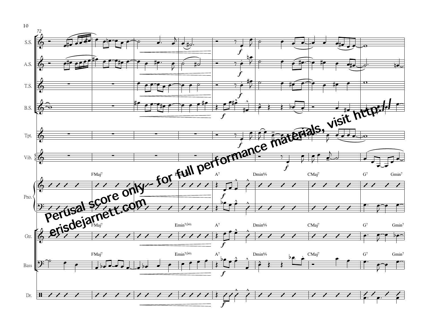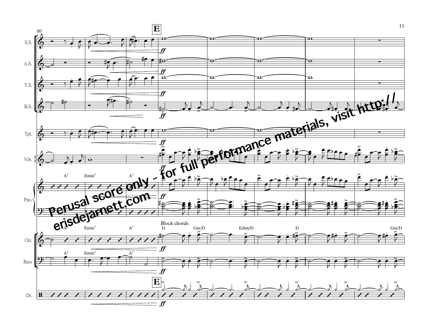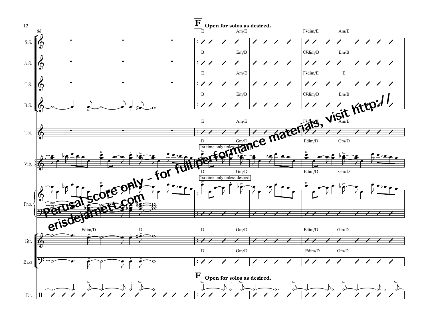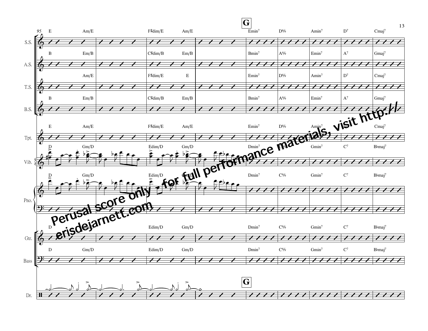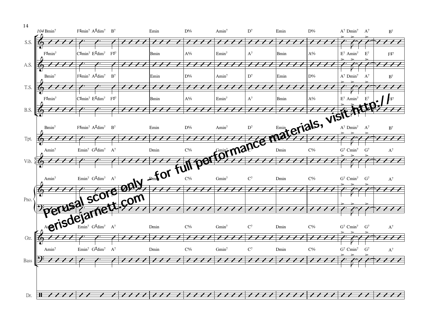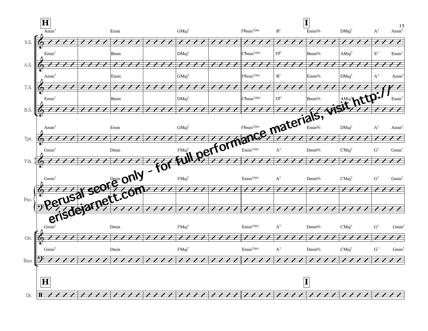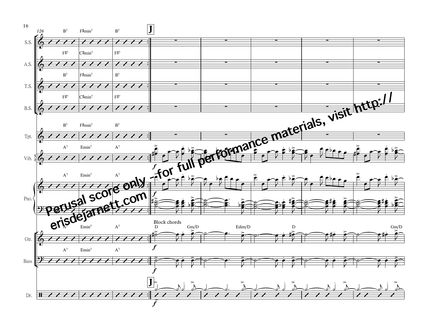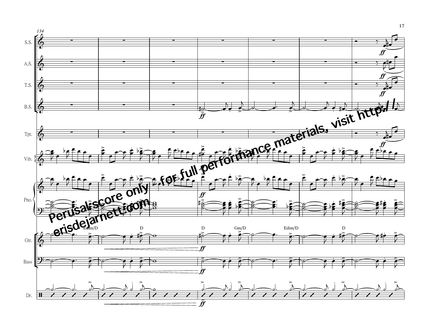

17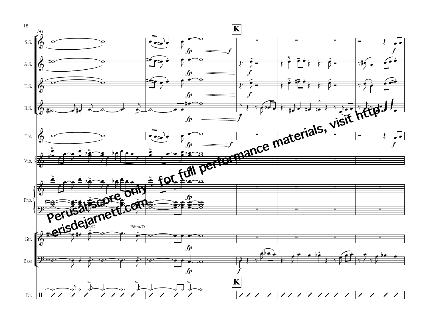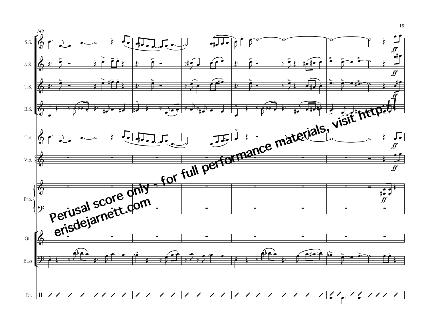

19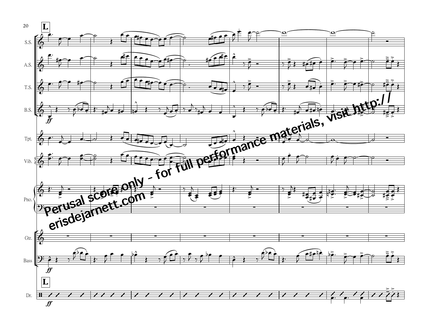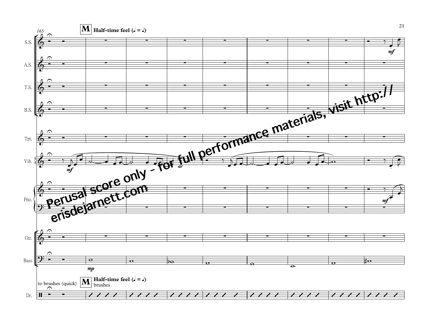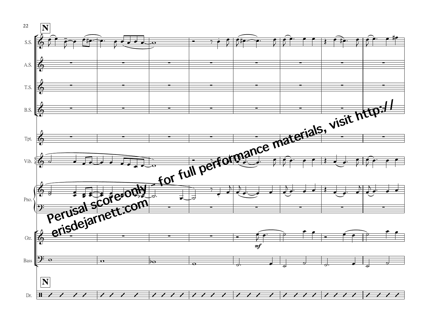